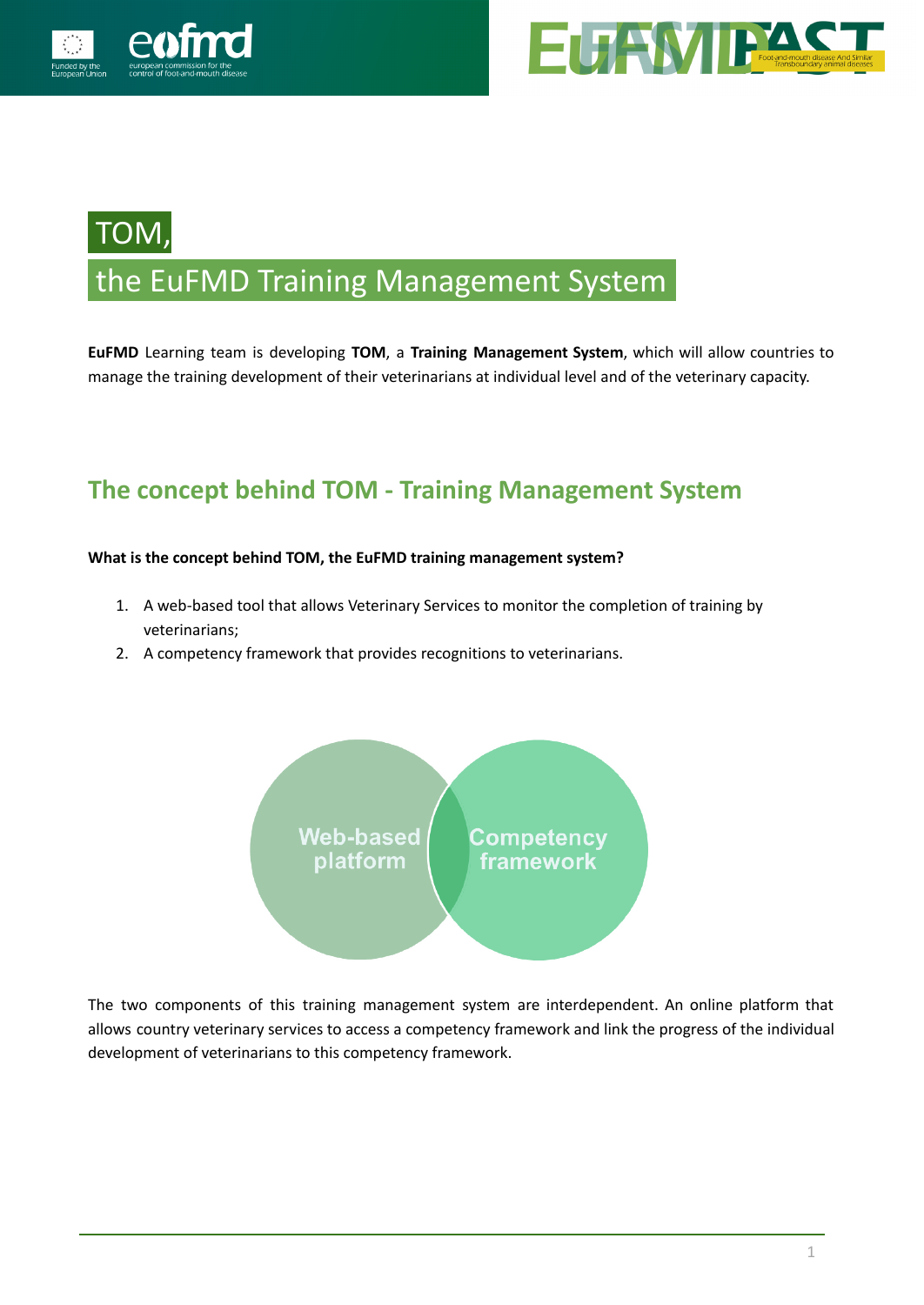



# TOM, the EuFMD Training Management System**.**

**EuFMD** Learning team is developing **TOM**, a **Training Management System**, which will allow countries to manage the training development of their veterinarians at individual level and of the veterinary capacity.

# **The concept behind TOM - Training Management System**

### **What is the concept behind TOM, the EuFMD training management system?**

- 1. A web-based tool that allows Veterinary Services to monitor the completion of training by veterinarians;
- 2. A competency framework that provides recognitions to veterinarians.



The two components of this training management system are interdependent. An online platform that allows country veterinary services to access a competency framework and link the progress of the individual development of veterinarians to this competency framework.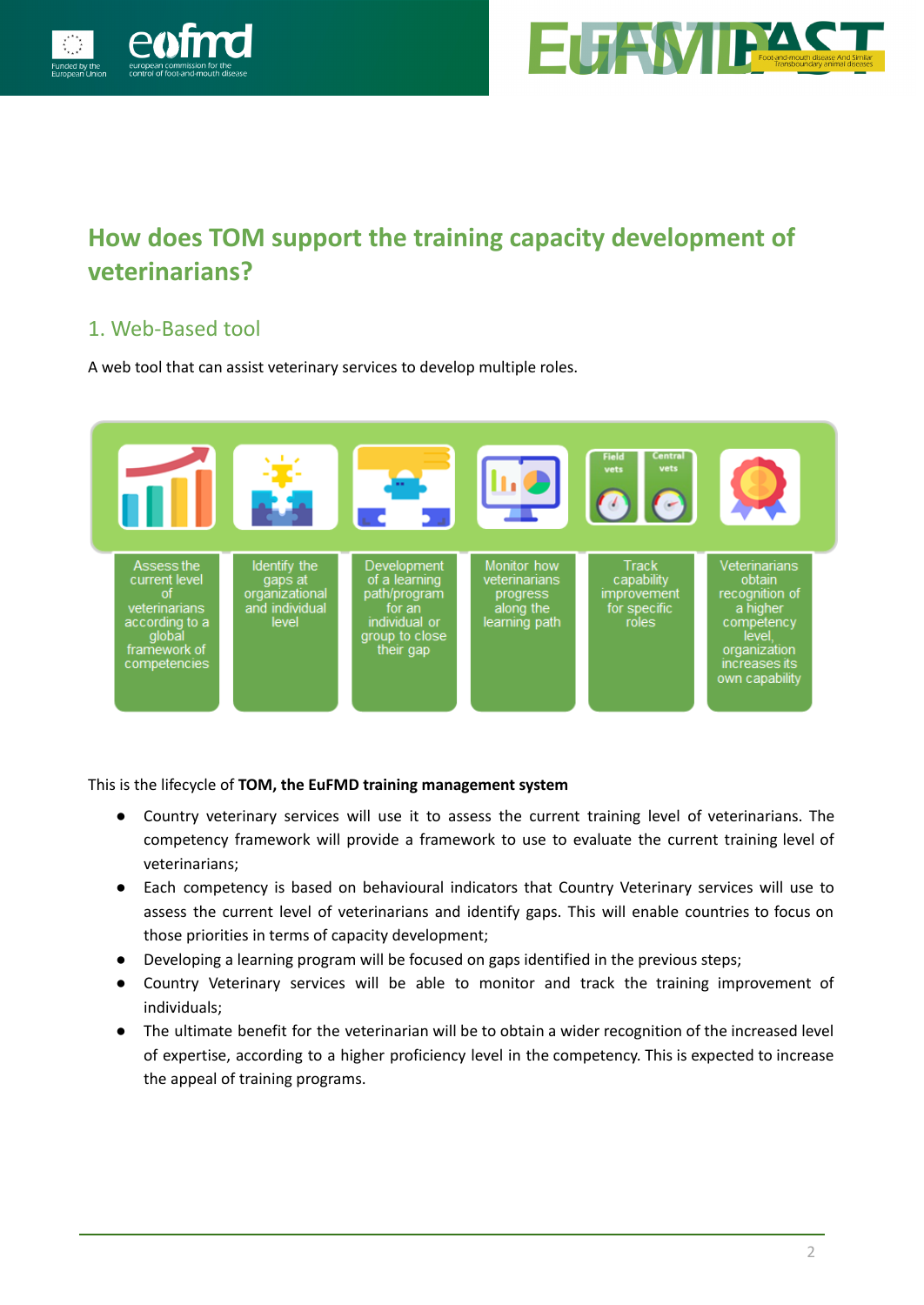



# **How does TOM support the training capacity development of veterinarians?**

## 1. Web-Based tool

A web tool that can assist veterinary services to develop multiple roles.



This is the lifecycle of **TOM, the EuFMD training management system**

- Country veterinary services will use it to assess the current training level of veterinarians. The competency framework will provide a framework to use to evaluate the current training level of veterinarians;
- Each competency is based on behavioural indicators that Country Veterinary services will use to assess the current level of veterinarians and identify gaps. This will enable countries to focus on those priorities in terms of capacity development;
- Developing a learning program will be focused on gaps identified in the previous steps;
- Country Veterinary services will be able to monitor and track the training improvement of individuals;
- The ultimate benefit for the veterinarian will be to obtain a wider recognition of the increased level of expertise, according to a higher proficiency level in the competency. This is expected to increase the appeal of training programs.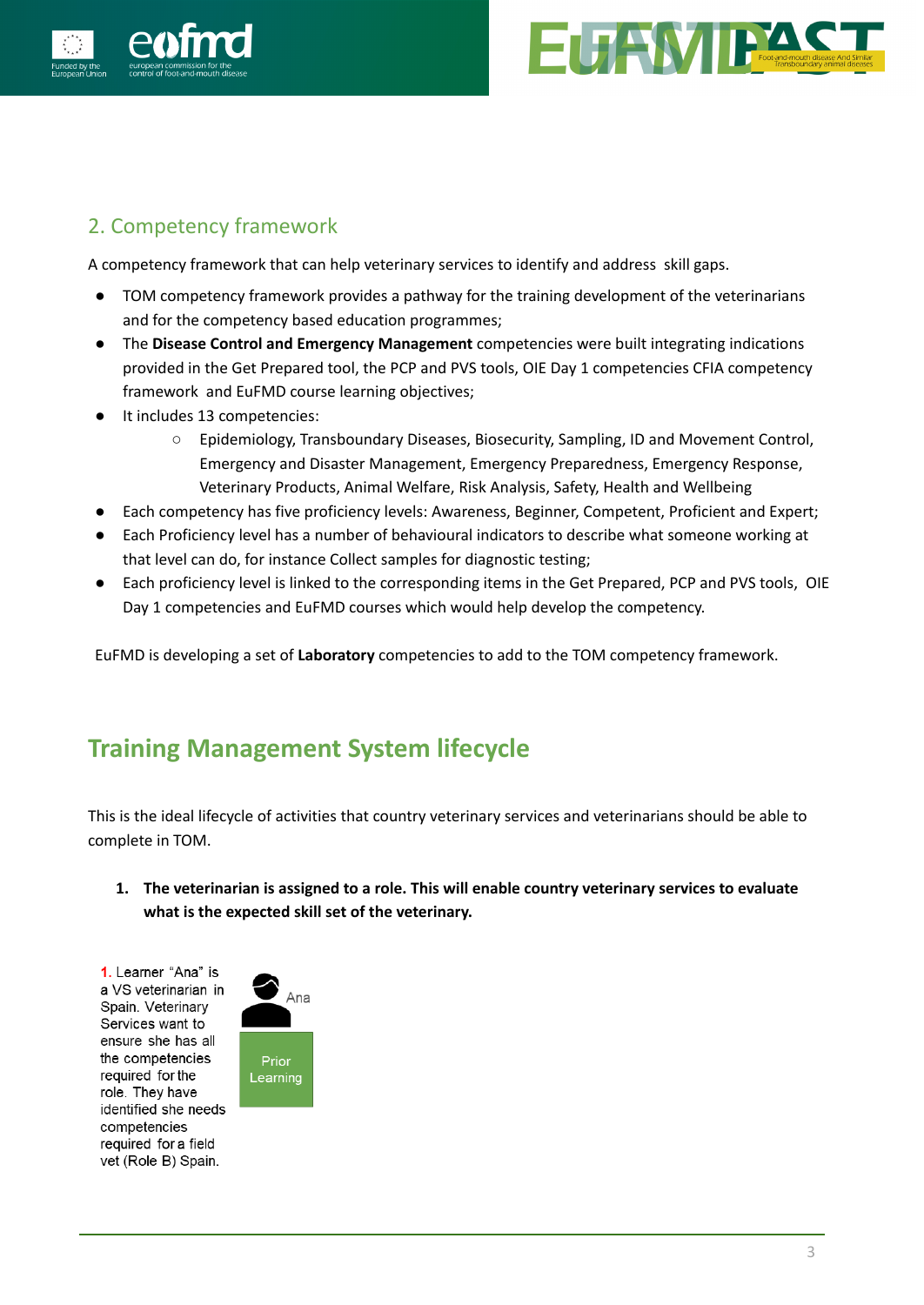



## 2. Competency framework

A competency framework that can help veterinary services to identify and address skill gaps.

- TOM competency framework provides a pathway for the training development of the veterinarians and for the competency based education programmes;
- The **Disease Control and Emergency Management** competencies were built integrating indications provided in the Get Prepared tool, the PCP and PVS tools, OIE Day 1 competencies CFIA competency framework and EuFMD course learning objectives;
- It includes 13 competencies:
	- Epidemiology, Transboundary Diseases, Biosecurity, Sampling, ID and Movement Control, Emergency and Disaster Management, Emergency Preparedness, Emergency Response, Veterinary Products, Animal Welfare, Risk Analysis, Safety, Health and Wellbeing
- Each competency has five proficiency levels: Awareness, Beginner, Competent, Proficient and Expert;
- Each Proficiency level has a number of behavioural indicators to describe what someone working at that level can do, for instance Collect samples for diagnostic testing;
- Each proficiency level is linked to the corresponding items in the Get Prepared, PCP and PVS tools, OIE Day 1 competencies and EuFMD courses which would help develop the competency.

EuFMD is developing a set of **Laboratory** competencies to add to the TOM competency framework.

# **Training Management System lifecycle**

This is the ideal lifecycle of activities that country veterinary services and veterinarians should be able to complete in TOM.

**1. The veterinarian is assigned to a role. This will enable country veterinary services to evaluate what is the expected skill set of the veterinary.**

1. Learner "Ana" is a VS veterinarian in Spain. Veterinary Services want to ensure she has all the competencies required for the role. They have identified she needs competencies required for a field vet (Role B) Spain.

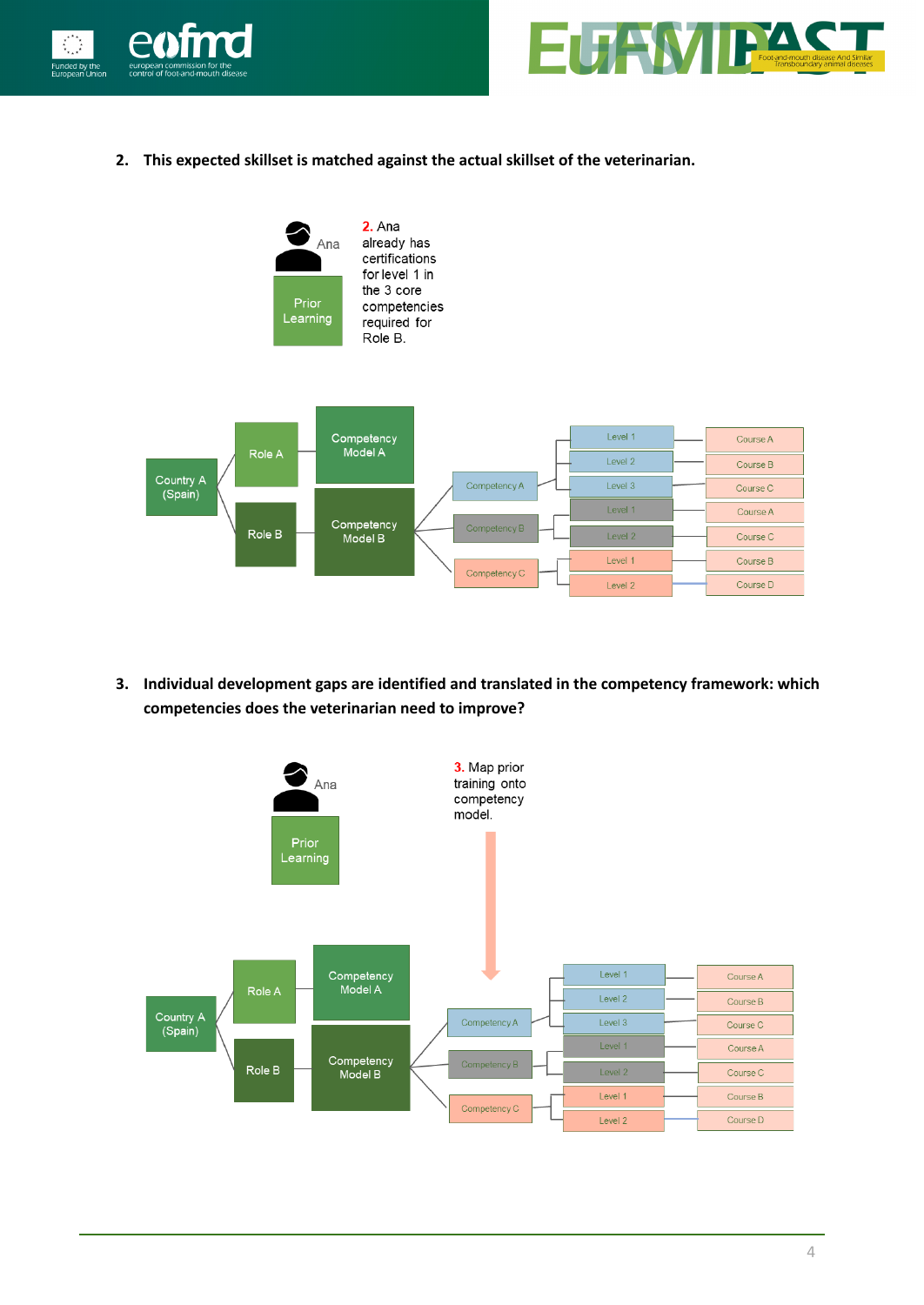



**2. This expected skillset is matched against the actual skillset of the veterinarian.**



**3. Individual development gaps are identified and translated in the competency framework: which competencies does the veterinarian need to improve?**

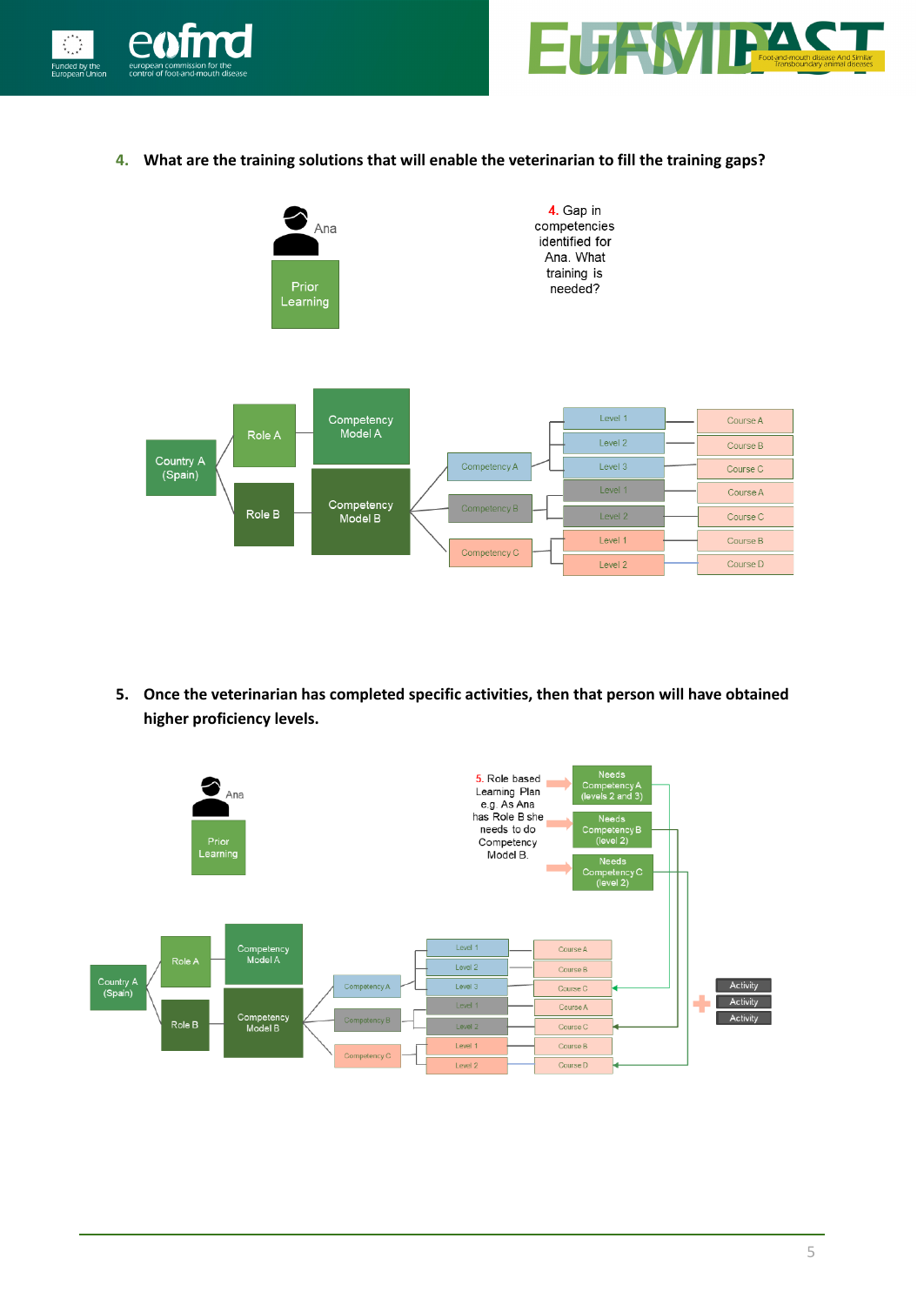



**4. What are the training solutions that will enable the veterinarian to fill the training gaps?**



**5. Once the veterinarian has completed specific activities, then that person will have obtained higher proficiency levels.**

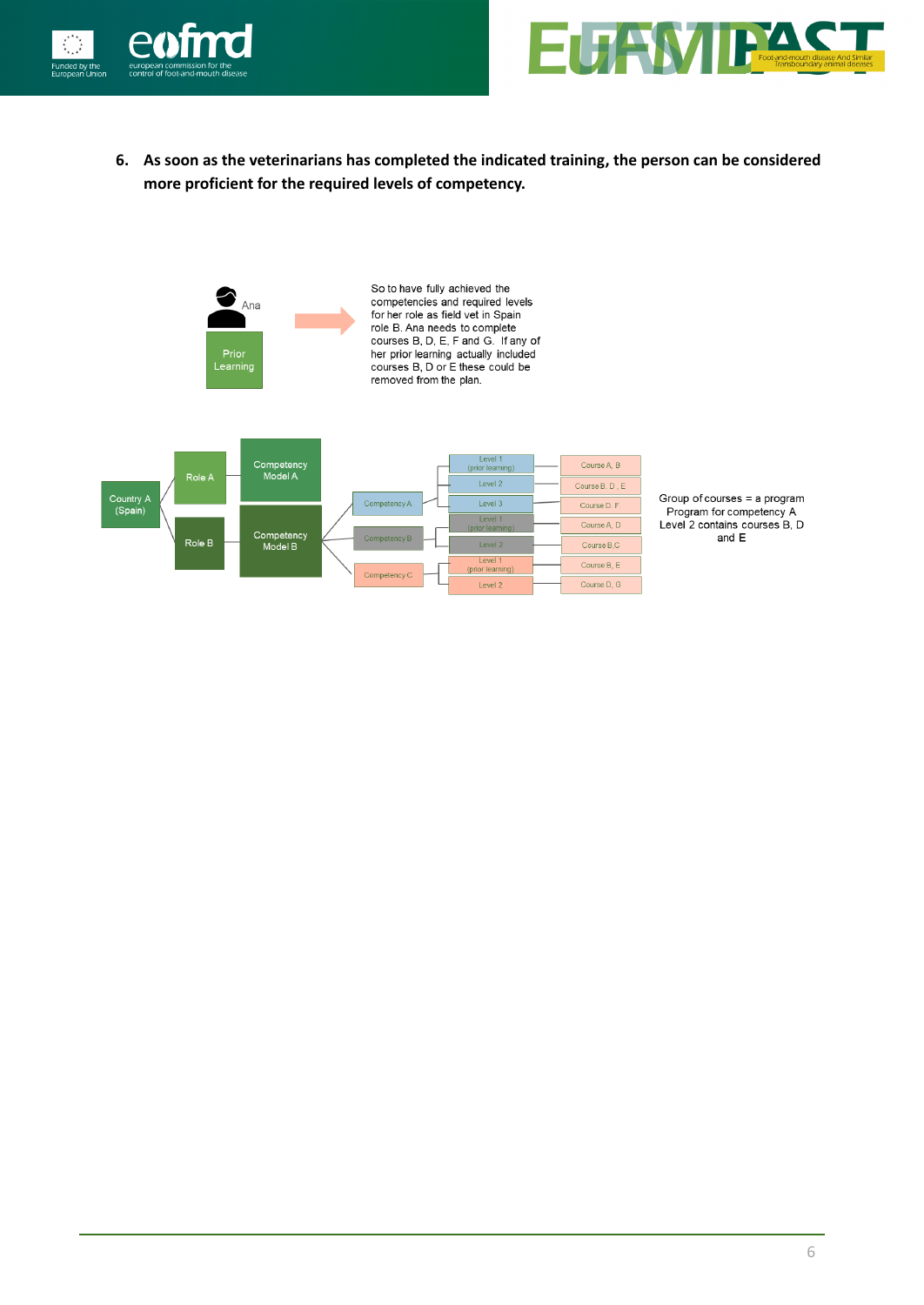



**6. As soon as the veterinarians has completed the indicated training, the person can be considered more proficient for the required levels of competency.**



Group of courses = a program Program for competency A Level 2 contains courses B, D and  $\mathsf E$